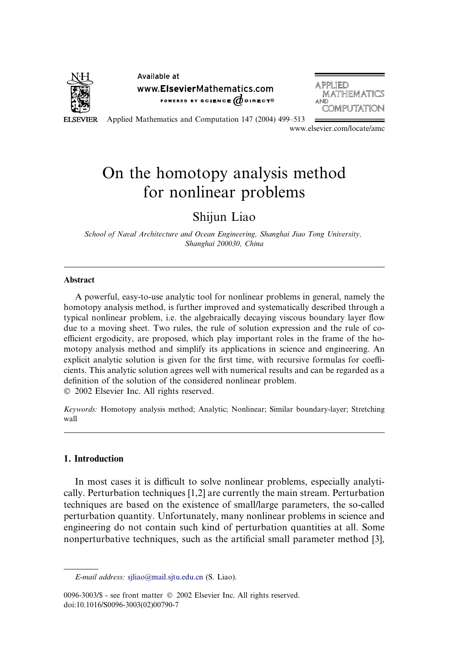

Available at www.ElsevierMathematics.com POWERED BY SCIENCE  $\phi$  direct<sup>®</sup>

**APPILIED MATHEMATICS** AND COMPUTATION

Applied Mathematics and Computation 147 (2004) 499–513

www.elsevier.com/locate/amc

# On the homotopy analysis method for nonlinear problems

# Shijun Liao

School of Naval Architecture and Ocean Engineering, Shanghai Jiao Tong University, Shanghai 200030, China

#### **Abstract**

A powerful, easy-to-use analytic tool for nonlinear problems in general, namely the homotopy analysis method, is further improved and systematically described through a typical nonlinear problem, i.e. the algebraically decaying viscous boundary layer flow due to a moving sheet. Two rules, the rule of solution expression and the rule of coefficient ergodicity, are proposed, which play important roles in the frame of the homotopy analysis method and simplify its applications in science and engineering. An explicit analytic solution is given for the first time, with recursive formulas for coefficients. This analytic solution agrees well with numerical results and can be regarded as a definition of the solution of the considered nonlinear problem.

2002 Elsevier Inc. All rights reserved.

Keywords: Homotopy analysis method; Analytic; Nonlinear; Similar boundary-layer; Stretching wall

### 1. Introduction

In most cases it is difficult to solve nonlinear problems, especially analytically. Perturbation techniques [1,2] are currently the main stream. Perturbation techniques are based on the existence of small/large parameters, the so-called perturbation quantity. Unfortunately, many nonlinear problems in science and engineering do not contain such kind of perturbation quantities at all. Some nonperturbative techniques, such as the artificial small parameter method [3],

E-mail address: [sjliao@mail.sjtu.edu.cn](mail to: sjliao@mail.sjtu.edu.cn) (S. Liao).

<sup>0096-3003/\$ -</sup> see front matter  $\odot$  2002 Elsevier Inc. All rights reserved. doi:10.1016/S0096-3003(02)00790-7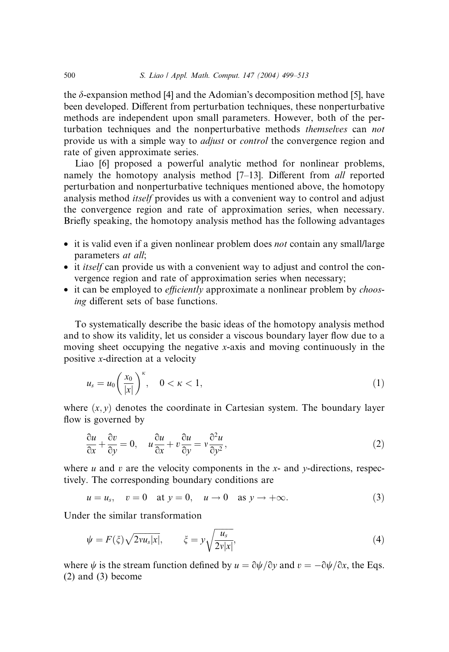the  $\delta$ -expansion method [4] and the Adomian's decomposition method [5], have been developed. Different from perturbation techniques, these nonperturbative methods are independent upon small parameters. However, both of the perturbation techniques and the nonperturbative methods themselves can not provide us with a simple way to adjust or control the convergence region and rate of given approximate series.

Liao [6] proposed a powerful analytic method for nonlinear problems, namely the homotopy analysis method [7–13]. Different from all reported perturbation and nonperturbative techniques mentioned above, the homotopy analysis method itself provides us with a convenient way to control and adjust the convergence region and rate of approximation series, when necessary. Briefly speaking, the homotopy analysis method has the following advantages

- it is valid even if a given nonlinear problem does *not* contain any small/large parameters *at all*;
- it *itself* can provide us with a convenient way to adjust and control the convergence region and rate of approximation series when necessary;
- it can be employed to *efficiently* approximate a nonlinear problem by *choos*ing different sets of base functions.

To systematically describe the basic ideas of the homotopy analysis method and to show its validity, let us consider a viscous boundary layer flow due to a moving sheet occupying the negative x-axis and moving continuously in the positive x-direction at a velocity

$$
u_s = u_0 \left(\frac{x_0}{|x|}\right)^{\kappa}, \quad 0 < \kappa < 1,\tag{1}
$$

where  $(x, y)$  denotes the coordinate in Cartesian system. The boundary layer flow is governed by

$$
\frac{\partial u}{\partial x} + \frac{\partial v}{\partial y} = 0, \quad u\frac{\partial u}{\partial x} + v\frac{\partial u}{\partial y} = v\frac{\partial^2 u}{\partial y^2},\tag{2}
$$

where  $u$  and  $v$  are the velocity components in the  $x$ - and  $y$ -directions, respectively. The corresponding boundary conditions are

$$
u = u_s, \quad v = 0 \quad \text{at } y = 0, \quad u \to 0 \quad \text{as } y \to +\infty. \tag{3}
$$

Under the similar transformation

$$
\psi = F(\xi)\sqrt{2vu_s|x|}, \qquad \xi = y\sqrt{\frac{u_s}{2v|x|}}, \tag{4}
$$

where  $\psi$  is the stream function defined by  $u = \partial \psi / \partial y$  and  $v = -\partial \psi / \partial x$ , the Eqs. (2) and (3) become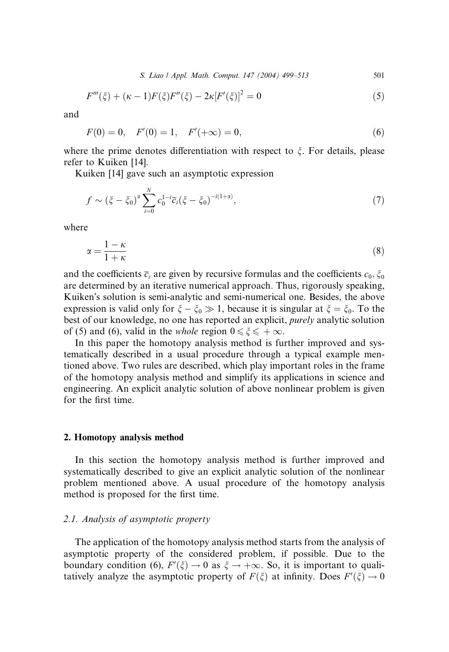S. Liao / Appl. Math. Comput. 147 (2004) 499–513 501

$$
F'''(\xi) + (\kappa - 1)F(\xi)F''(\xi) - 2\kappa[F'(\xi)]^2 = 0
$$
\n(5)

and

$$
F(0) = 0, \quad F'(0) = 1, \quad F'(+\infty) = 0,
$$
\n<sup>(6)</sup>

where the prime denotes differentiation with respect to  $\xi$ . For details, please refer to Kuiken [14].

Kuiken [14] gave such an asymptotic expression

$$
f \sim (\xi - \xi_0)^{\alpha} \sum_{i=0}^{N} c_0^{1-i} \overline{c}_i (\xi - \xi_0)^{-i(1+\alpha)}, \tag{7}
$$

where

$$
\alpha = \frac{1 - \kappa}{1 + \kappa} \tag{8}
$$

and the coefficients  $\overline{c}_i$  are given by recursive formulas and the coefficients  $c_0, \xi_0$ are determined by an iterative numerical approach. Thus, rigorously speaking, Kuiken's solution is semi-analytic and semi-numerical one. Besides, the above expression is valid only for  $\xi - \xi_0 \gg 1$ , because it is singular at  $\xi = \xi_0$ . To the best of our knowledge, no one has reported an explicit, purely analytic solution of (5) and (6), valid in the *whole* region  $0 \le \xi \le +\infty$ .

In this paper the homotopy analysis method is further improved and systematically described in a usual procedure through a typical example mentioned above. Two rules are described, which play important roles in the frame of the homotopy analysis method and simplify its applications in science and engineering. An explicit analytic solution of above nonlinear problem is given for the first time.

#### 2. Homotopy analysis method

In this section the homotopy analysis method is further improved and systematically described to give an explicit analytic solution of the nonlinear problem mentioned above. A usual procedure of the homotopy analysis method is proposed for the first time.

# 2.1. Analysis of asymptotic property

The application of the homotopy analysis method starts from the analysis of asymptotic property of the considered problem, if possible. Due to the boundary condition (6),  $F'(\xi) \to 0$  as  $\xi \to +\infty$ . So, it is important to qualitatively analyze the asymptotic property of  $F(\xi)$  at infinity. Does  $F'(\xi) \to 0$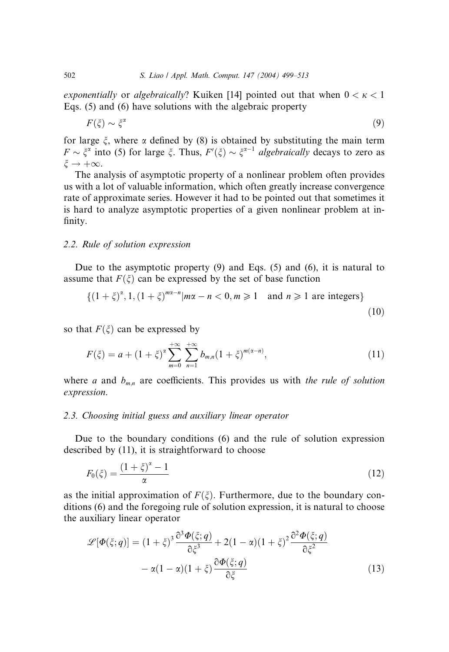exponentially or algebraically? Kuiken [14] pointed out that when  $0 < \kappa < 1$ Eqs. (5) and (6) have solutions with the algebraic property

$$
F(\xi) \sim \xi^{\alpha} \tag{9}
$$

for large  $\xi$ , where  $\alpha$  defined by (8) is obtained by substituting the main term  $F \sim \xi^{\alpha}$  into (5) for large  $\xi$ . Thus,  $F'(\xi) \sim \xi^{\alpha-1}$  algebraically decays to zero as  $\xi \rightarrow +\infty$ .

The analysis of asymptotic property of a nonlinear problem often provides us with a lot of valuable information, which often greatly increase convergence rate of approximate series. However it had to be pointed out that sometimes it is hard to analyze asymptotic properties of a given nonlinear problem at infinity.

#### 2.2. Rule of solution expression

Due to the asymptotic property  $(9)$  and Eqs. (5) and  $(6)$ , it is natural to assume that  $F(\xi)$  can be expressed by the set of base function

$$
\{(1+\xi)^{\alpha}, 1, (1+\xi)^{m\alpha-1}|m\alpha-n<0, m\geq 1 \text{ and } n\geq 1 \text{ are integers}\}\
$$
\n(10)

so that  $F(\xi)$  can be expressed by

$$
F(\xi) = a + (1 + \xi)^{\alpha} \sum_{m=0}^{+\infty} \sum_{n=1}^{+\infty} b_{m,n} (1 + \xi)^{m(\alpha - n)},
$$
\n(11)

where a and  $b_{m,n}$  are coefficients. This provides us with the rule of solution expression.

# 2.3. Choosing initial guess and auxiliary linear operator

Due to the boundary conditions (6) and the rule of solution expression described by (11), it is straightforward to choose

$$
F_0(\zeta) = \frac{(1+\zeta)^{\alpha} - 1}{\alpha} \tag{12}
$$

as the initial approximation of  $F(\xi)$ . Furthermore, due to the boundary conditions (6) and the foregoing rule of solution expression, it is natural to choose the auxiliary linear operator

$$
\mathcal{L}[\Phi(\xi;q)] = (1+\xi)^3 \frac{\partial^3 \Phi(\xi;q)}{\partial \xi^3} + 2(1-\alpha)(1+\xi)^2 \frac{\partial^2 \Phi(\xi;q)}{\partial \xi^2} -\alpha(1-\alpha)(1+\xi) \frac{\partial \Phi(\xi;q)}{\partial \xi}
$$
\n(13)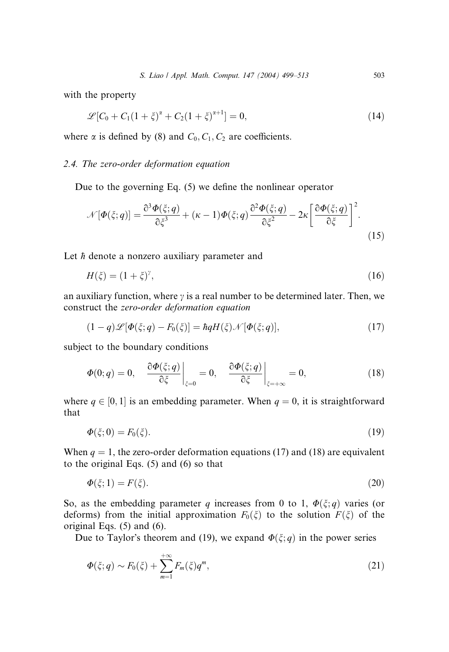with the property

$$
\mathcal{L}[C_0 + C_1(1+\xi)^{\alpha} + C_2(1+\xi)^{\alpha+1}] = 0,
$$
\n(14)

where  $\alpha$  is defined by (8) and  $C_0$ ,  $C_1$ ,  $C_2$  are coefficients.

# 2.4. The zero-order deformation equation

Due to the governing Eq. (5) we define the nonlinear operator

$$
\mathcal{N}[\Phi(\xi;q)] = \frac{\partial^3 \Phi(\xi;q)}{\partial \xi^3} + (\kappa - 1)\Phi(\xi;q) \frac{\partial^2 \Phi(\xi;q)}{\partial \xi^2} - 2\kappa \left[ \frac{\partial \Phi(\xi;q)}{\partial \xi} \right]^2.
$$
\n(15)

Let  $\hbar$  denote a nonzero auxiliary parameter and

$$
H(\xi) = (1 + \xi)^{\gamma},\tag{16}
$$

an auxiliary function, where  $\gamma$  is a real number to be determined later. Then, we construct the zero-order deformation equation

$$
(1-q)\mathcal{L}[\Phi(\xi;q)-F_0(\xi)]=\hbar qH(\xi)\mathcal{N}[\Phi(\xi;q)],\qquad (17)
$$

subject to the boundary conditions

$$
\Phi(0;q) = 0, \quad \frac{\partial \Phi(\xi;q)}{\partial \xi}\bigg|_{\xi=0} = 0, \quad \frac{\partial \Phi(\xi;q)}{\partial \xi}\bigg|_{\xi=\pm\infty} = 0, \tag{18}
$$

where  $q \in [0, 1]$  is an embedding parameter. When  $q = 0$ , it is straightforward that

$$
\Phi(\xi;0) = F_0(\xi). \tag{19}
$$

When  $q = 1$ , the zero-order deformation equations (17) and (18) are equivalent to the original Eqs. (5) and (6) so that

$$
\Phi(\xi; 1) = F(\xi). \tag{20}
$$

So, as the embedding parameter q increases from 0 to 1,  $\Phi(\xi; q)$  varies (or deforms) from the initial approximation  $F_0(\xi)$  to the solution  $F(\xi)$  of the original Eqs. (5) and (6).

Due to Taylor's theorem and (19), we expand  $\Phi(\xi; q)$  in the power series

$$
\Phi(\xi;q) \sim F_0(\xi) + \sum_{m=1}^{+\infty} F_m(\xi) q^m,
$$
\n(21)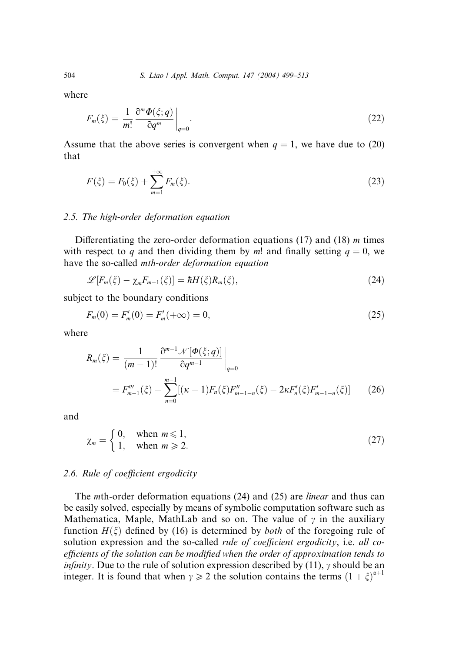where

$$
F_m(\xi) = \frac{1}{m!} \frac{\partial^m \Phi(\xi; q)}{\partial q^m} \bigg|_{q=0}.
$$
\n(22)

Assume that the above series is convergent when  $q = 1$ , we have due to (20) that

$$
F(\xi) = F_0(\xi) + \sum_{m=1}^{+\infty} F_m(\xi).
$$
 (23)

#### 2.5. The high-order deformation equation

Differentiating the zero-order deformation equations (17) and (18)  $m$  times with respect to q and then dividing them by m! and finally setting  $q = 0$ , we have the so-called mth-order deformation equation

$$
\mathscr{L}[F_m(\xi) - \chi_m F_{m-1}(\xi)] = \hbar H(\xi) R_m(\xi), \qquad (24)
$$

subject to the boundary conditions

$$
F_m(0) = F'_m(0) = F'_m(+\infty) = 0,
$$
\n(25)

where

$$
R_m(\xi) = \frac{1}{(m-1)!} \frac{\partial^{m-1} \mathcal{N}[\Phi(\xi; q)]}{\partial q^{m-1}} \Big|_{q=0}
$$
  
=  $F_{m-1}'''(\xi) + \sum_{n=0}^{m-1} [(\kappa - 1)F_n(\xi)F_{m-1-n}''(\xi) - 2\kappa F_n'(\xi)F_{m-1-n}'(\xi)]$  (26)

and

$$
\chi_m = \begin{cases} 0, & \text{when } m \le 1, \\ 1, & \text{when } m \ge 2. \end{cases} \tag{27}
$$

#### 2.6. Rule of coefficient ergodicity

The *mth*-order deformation equations (24) and (25) are *linear* and thus can be easily solved, especially by means of symbolic computation software such as Mathematica, Maple, MathLab and so on. The value of  $\gamma$  in the auxiliary function  $H(\xi)$  defined by (16) is determined by *both* of the foregoing rule of solution expression and the so-called *rule of coefficient ergodicity*, i.e. all coefficients of the solution can be modified when the order of approximation tends to *infinity*. Due to the rule of solution expression described by (11),  $\gamma$  should be an integer. It is found that when  $\gamma \geq 2$  the solution contains the terms  $(1 + \xi)^{\alpha+1}$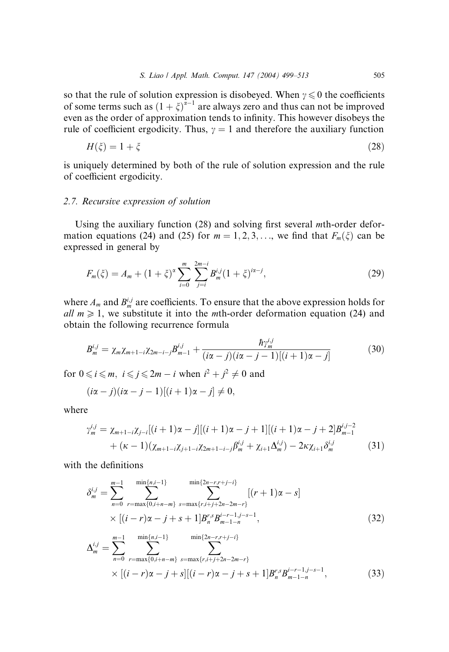so that the rule of solution expression is disobeyed. When  $y \le 0$  the coefficients of some terms such as  $(1 + \xi)^{\bar{\alpha}-1}$  are always zero and thus can not be improved even as the order of approximation tends to infinity. This however disobeys the rule of coefficient ergodicity. Thus,  $\gamma = 1$  and therefore the auxiliary function

$$
H(\zeta) = 1 + \zeta \tag{28}
$$

is uniquely determined by both of the rule of solution expression and the rule of coefficient ergodicity.

#### 2.7. Recursive expression of solution

Using the auxiliary function (28) and solving first several mth-order deformation equations (24) and (25) for  $m = 1, 2, 3, \ldots$ , we find that  $F_m(\xi)$  can be expressed in general by

$$
F_m(\xi) = A_m + (1 + \xi)^{\alpha} \sum_{i=0}^{m} \sum_{j=i}^{2m-i} B_m^{i,j} (1 + \xi)^{i\alpha - j}, \tag{29}
$$

where  $A_m$  and  $B_m^{i,j}$  are coefficients. To ensure that the above expression holds for all  $m \geq 1$ , we substitute it into the *mth*-order deformation equation (24) and obtain the following recurrence formula

$$
B_m^{i,j} = \chi_m \chi_{m+1-i} \chi_{2m-i-j} B_{m-1}^{i,j} + \frac{\hbar \gamma_m^{i,j}}{(i\alpha - j)(i\alpha - j - 1)[(i + 1)\alpha - j]}
$$
(30)

for  $0 \le i \le m$ ,  $i \le j \le 2m - i$  when  $i^2 + j^2 \ne 0$  and

$$
(i\alpha - j)(i\alpha - j - 1)[(i + 1)\alpha - j] \neq 0,
$$

where

$$
\gamma_m^{i,j} = \chi_{m+1-i}\chi_{j-i}[(i+1)\alpha - j][(i+1)\alpha - j+1][(i+1)\alpha - j+2]B_{m-1}^{i,j-2} + (\kappa - 1)(\chi_{m+1-i}\chi_{j+1-i}\chi_{2m+1-i-j}B_m^{i,j} + \chi_{i+1}\Delta_m^{i,j}) - 2\kappa\chi_{i+1}\delta_m^{i,j}
$$
(31)

with the definitions

$$
\delta_m^{i,j} = \sum_{n=0}^{m-1} \sum_{r=\max\{0,i+n-m\}}^{\min\{n,i-1\}} \sum_{s=\max\{r,i+j+2n-2m-r\}}^{\min\{2n-r,r+j-i\}} [(r+1)\alpha - s] \times [(i-r)\alpha - j + s + 1]B_n^{r,s} B_{m-1-n}^{i-r-1,j-s-1}, \tag{32}
$$

$$
\Delta_m^{i,j} = \sum_{n=0}^{m-1} \sum_{r=\max\{0,i+n-m\}}^{\min\{n,i-1\}} \sum_{s=\max\{r,i+j+2n-2m-r\}}^{\min\{2n-r,r+j-i\}} \times [(i-r)\alpha - j + s][(i-r)\alpha - j + s + 1]B_n^{r,s}B_{m-1-n}^{i-r-1,j-s-1},
$$
\n(33)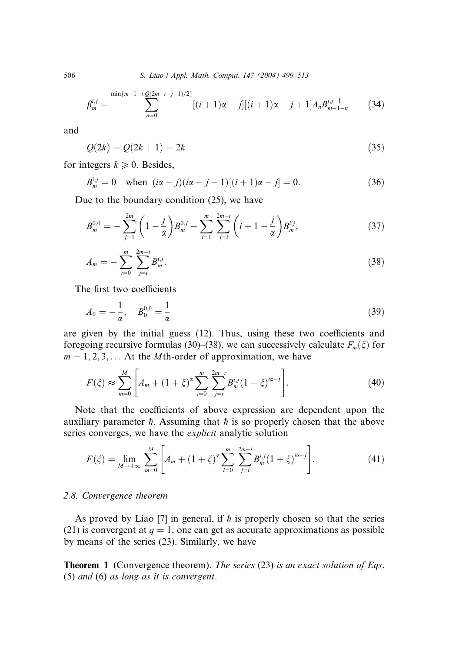506 S. Liao / Appl. Math. Comput. 147 (2004) 499–513

$$
\beta_m^{i,j} = \sum_{n=0}^{\min\{m-1-i,\underline{O}(2m-i-j-1)/2\}} [(i+1)\alpha - j] [(i+1)\alpha - j+1] A_n B_{m-1-n}^{i,j-1}
$$
(34)

and

$$
Q(2k) = Q(2k+1) = 2k
$$
\n(35)

for integers  $k \geq 0$ . Besides,

$$
B_m^{i,j} = 0 \quad \text{when } (i\alpha - j)(i\alpha - j - 1)[(i+1)\alpha - j] = 0. \tag{36}
$$

Due to the boundary condition (25), we have

$$
B_m^{0,0} = -\sum_{j=1}^{2m} \left(1 - \frac{j}{\alpha}\right) B_m^{0,j} - \sum_{i=1}^m \sum_{j=i}^{2m-i} \left(i + 1 - \frac{j}{\alpha}\right) B_m^{i,j},\tag{37}
$$

$$
A_m = -\sum_{i=0}^{m} \sum_{j=i}^{2m-i} B_m^{i,j}.
$$
 (38)

The first two coefficients

$$
A_0 = -\frac{1}{\alpha}, \quad B_0^{0,0} = \frac{1}{\alpha} \tag{39}
$$

are given by the initial guess (12). Thus, using these two coefficients and foregoing recursive formulas (30)–(38), we can successively calculate  $F_m(\zeta)$  for  $m = 1, 2, 3, \ldots$  At the *M*th-order of approximation, we have

$$
F(\xi) \approx \sum_{m=0}^{M} \left[ A_m + (1+\xi)^{\alpha} \sum_{i=0}^{m} \sum_{j=i}^{2m-i} B_m^{i,j} (1+\xi)^{i\alpha-j} \right].
$$
 (40)

Note that the coefficients of above expression are dependent upon the auxiliary parameter  $\hbar$ . Assuming that  $\hbar$  is so properly chosen that the above series converges, we have the explicit analytic solution

$$
F(\xi) = \lim_{M \to +\infty} \sum_{m=0}^{M} \left[ A_m + (1 + \xi)^{\alpha} \sum_{i=0}^{m} \sum_{j=i}^{2m-i} B_m^{i,j} (1 + \xi)^{i\alpha - j} \right].
$$
 (41)

#### 2.8. Convergence theorem

As proved by Liao [7] in general, if  $\hbar$  is properly chosen so that the series (21) is convergent at  $q = 1$ , one can get as accurate approximations as possible by means of the series (23). Similarly, we have

**Theorem 1** (Convergence theorem). The series (23) is an exact solution of Eqs. (5) and (6) as long as it is convergent.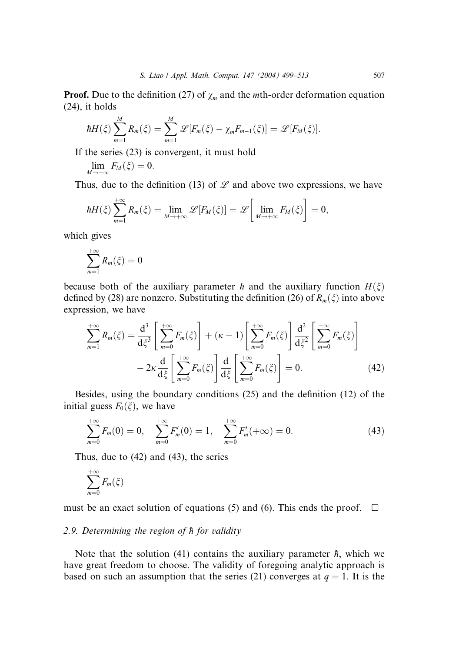**Proof.** Due to the definition (27) of  $\chi_m$  and the *mth*-order deformation equation (24), it holds

$$
\hbar H(\xi)\sum_{m=1}^M R_m(\xi)=\sum_{m=1}^M \mathscr{L}[F_m(\xi)-\chi_m F_{m-1}(\xi)]=\mathscr{L}[F_M(\xi)].
$$

If the series (23) is convergent, it must hold

$$
\lim_{M\to+\infty}F_M(\xi)=0.
$$

Thus, due to the definition (13) of  $\mathscr L$  and above two expressions, we have

$$
\hbar H(\xi)\sum_{m=1}^{+\infty}R_m(\xi)=\lim_{M\to+\infty}\mathscr{L}[F_M(\xi)]=\mathscr{L}\bigg[\lim_{M\to+\infty}F_M(\xi)\bigg]=0,
$$

which gives

$$
\sum_{m=1}^{+\infty} R_m(\xi) = 0
$$

because both of the auxiliary parameter h and the auxiliary function  $H(\xi)$ defined by (28) are nonzero. Substituting the definition (26) of  $R_m(\xi)$  into above expression, we have

$$
\sum_{m=1}^{+\infty} R_m(\xi) = \frac{\mathrm{d}^3}{\mathrm{d}\xi^3} \left[ \sum_{m=0}^{+\infty} F_m(\xi) \right] + (\kappa - 1) \left[ \sum_{m=0}^{+\infty} F_m(\xi) \right] \frac{\mathrm{d}^2}{\mathrm{d}\xi^2} \left[ \sum_{m=0}^{+\infty} F_m(\xi) \right] \n- 2\kappa \frac{\mathrm{d}}{\mathrm{d}\xi} \left[ \sum_{m=0}^{+\infty} F_m(\xi) \right] \frac{\mathrm{d}}{\mathrm{d}\xi} \left[ \sum_{m=0}^{+\infty} F_m(\xi) \right] = 0.
$$
\n(42)

Besides, using the boundary conditions (25) and the definition (12) of the initial guess  $F_0(\xi)$ , we have

$$
\sum_{m=0}^{+\infty} F_m(0) = 0, \quad \sum_{m=0}^{+\infty} F'_m(0) = 1, \quad \sum_{m=0}^{+\infty} F'_m(+\infty) = 0. \tag{43}
$$

Thus, due to (42) and (43), the series

$$
\sum_{m=0}^{+\infty} F_m(\xi)
$$

must be an exact solution of equations (5) and (6). This ends the proof.  $\square$ 

#### 2.9. Determining the region of h for validity

Note that the solution (41) contains the auxiliary parameter  $\hbar$ , which we have great freedom to choose. The validity of foregoing analytic approach is based on such an assumption that the series (21) converges at  $q = 1$ . It is the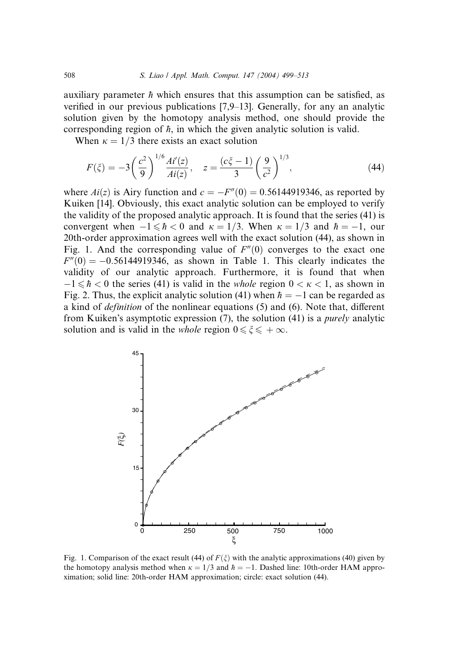auxiliary parameter  $\hbar$  which ensures that this assumption can be satisfied, as verified in our previous publications [7,9–13]. Generally, for any an analytic solution given by the homotopy analysis method, one should provide the corresponding region of  $\hbar$ , in which the given analytic solution is valid.

When  $\kappa = 1/3$  there exists an exact solution

$$
F(\xi) = -3\left(\frac{c^2}{9}\right)^{1/6} \frac{Ai'(z)}{Ai(z)}, \quad z = \frac{(c\xi - 1)}{3} \left(\frac{9}{c^2}\right)^{1/3},\tag{44}
$$

where  $Ai(z)$  is Airy function and  $c = -F''(0) = 0.56144919346$ , as reported by Kuiken [14]. Obviously, this exact analytic solution can be employed to verify the validity of the proposed analytic approach. It is found that the series (41) is convergent when  $-1 \le \hbar < 0$  and  $\kappa = 1/3$ . When  $\kappa = 1/3$  and  $\hbar = -1$ , our 20th-order approximation agrees well with the exact solution (44), as shown in Fig. 1. And the corresponding value of  $F''(0)$  converges to the exact one  $F''(0) = -0.56144919346$ , as shown in Table 1. This clearly indicates the validity of our analytic approach. Furthermore, it is found that when  $-1 \le \hbar < 0$  the series (41) is valid in the *whole* region  $0 < \kappa < 1$ , as shown in Fig. 2. Thus, the explicit analytic solution (41) when  $\hbar = -1$  can be regarded as a kind of definition of the nonlinear equations (5) and (6). Note that, different from Kuiken's asymptotic expression  $(7)$ , the solution  $(41)$  is a *purely* analytic solution and is valid in the *whole* region  $0 \le \xi \le +\infty$ .



Fig. 1. Comparison of the exact result (44) of  $F(\xi)$  with the analytic approximations (40) given by the homotopy analysis method when  $\kappa = 1/3$  and  $\hbar = -1$ . Dashed line: 10th-order HAM approximation; solid line: 20th-order HAM approximation; circle: exact solution (44).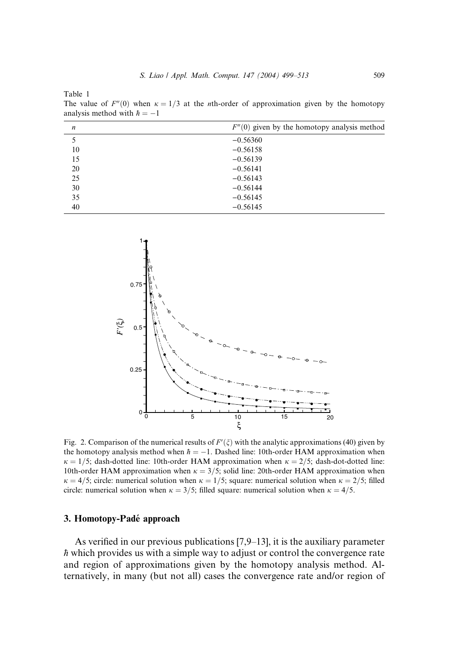Table 1

The value of  $F''(0)$  when  $\kappa = 1/3$  at the *n*th-order of approximation given by the homotopy analysis method with  $\hbar = -1$ 

| n  | $F''(0)$ given by the homotopy analysis method |
|----|------------------------------------------------|
| 5  | $-0.56360$                                     |
| 10 | $-0.56158$                                     |
| 15 | $-0.56139$                                     |
| 20 | $-0.56141$                                     |
| 25 | $-0.56143$                                     |
| 30 | $-0.56144$                                     |
| 35 | $-0.56145$                                     |
| 40 | $-0.56145$                                     |
|    |                                                |



Fig. 2. Comparison of the numerical results of  $F'(\xi)$  with the analytic approximations (40) given by the homotopy analysis method when  $\hbar = -1$ . Dashed line: 10th-order HAM approximation when  $\kappa = 1/5$ ; dash-dotted line: 10th-order HAM approximation when  $\kappa = 2/5$ ; dash-dot-dotted line: 10th-order HAM approximation when  $\kappa = 3/5$ ; solid line: 20th-order HAM approximation when  $\kappa = 4/5$ ; circle: numerical solution when  $\kappa = 1/5$ ; square: numerical solution when  $\kappa = 2/5$ ; filled circle: numerical solution when  $\kappa = 3/5$ ; filled square: numerical solution when  $\kappa = 4/5$ .

#### 3. Homotopy-Pade´ approach

As verified in our previous publications [7,9–13], it is the auxiliary parameter  $\hbar$  which provides us with a simple way to adjust or control the convergence rate and region of approximations given by the homotopy analysis method. Alternatively, in many (but not all) cases the convergence rate and/or region of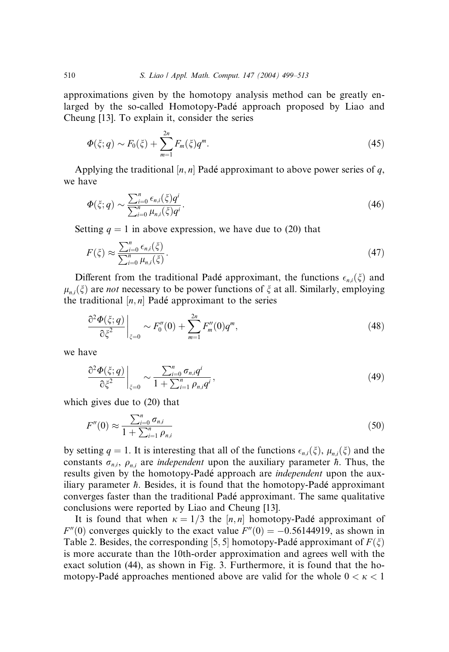approximations given by the homotopy analysis method can be greatly enlarged by the so-called Homotopy-Padé approach proposed by Liao and Cheung [13]. To explain it, consider the series

$$
\Phi(\xi;q) \sim F_0(\xi) + \sum_{m=1}^{2n} F_m(\xi) q^m. \tag{45}
$$

Applying the traditional  $[n, n]$  Padé approximant to above power series of q, we have

$$
\Phi(\xi;q) \sim \frac{\sum_{i=0}^{n} \epsilon_{n,i}(\xi)q^{i}}{\sum_{i=0}^{n} \mu_{n,i}(\xi)q^{i}}.
$$
\n(46)

Setting  $q = 1$  in above expression, we have due to (20) that

$$
F(\xi) \approx \frac{\sum_{i=0}^{n} \epsilon_{n,i}(\xi)}{\sum_{i=0}^{n} \mu_{n,i}(\xi)}.
$$
\n(47)

Different from the traditional Padé approximant, the functions  $\epsilon_{n,i}(\xi)$  and  $\mu_{ni}(\xi)$  are *not* necessary to be power functions of  $\xi$  at all. Similarly, employing the traditional  $[n, n]$  Padé approximant to the series

$$
\left. \frac{\partial^2 \Phi(\xi; q)}{\partial \xi^2} \right|_{\xi=0} \sim F_0''(0) + \sum_{m=1}^{2n} F_m''(0) q^m,
$$
\n(48)

we have

$$
\left.\frac{\partial^2 \Phi(\xi;q)}{\partial \xi^2}\right|_{\xi=0} \sim \frac{\sum_{i=0}^n \sigma_{n,i} q^i}{1 + \sum_{i=1}^n \rho_{n,i} q^i},\tag{49}
$$

which gives due to (20) that

$$
F''(0) \approx \frac{\sum_{i=0}^{n} \sigma_{n,i}}{1 + \sum_{i=1}^{n} \rho_{n,i}}
$$
(50)

by setting  $q = 1$ . It is interesting that all of the functions  $\epsilon_{n,i}(\xi)$ ,  $\mu_{n,i}(\xi)$  and the constants  $\sigma_{n,i}$ ,  $\rho_{n,i}$  are *independent* upon the auxiliary parameter  $\hbar$ . Thus, the results given by the homotopy-Padé approach are *independent* upon the auxiliary parameter  $\hbar$ . Besides, it is found that the homotopy-Padé approximant converges faster than the traditional Padé approximant. The same qualitative conclusions were reported by Liao and Cheung [13].

It is found that when  $\kappa = 1/3$  the [n, n] homotopy-Padé approximant of  $F''(0)$  converges quickly to the exact value  $F''(0) = -0.56144919$ , as shown in Table 2. Besides, the corresponding [5, 5] homotopy-Padé approximant of  $F(\xi)$ is more accurate than the 10th-order approximation and agrees well with the exact solution (44), as shown in Fig. 3. Furthermore, it is found that the homotopy-Padé approaches mentioned above are valid for the whole  $0 < \kappa < 1$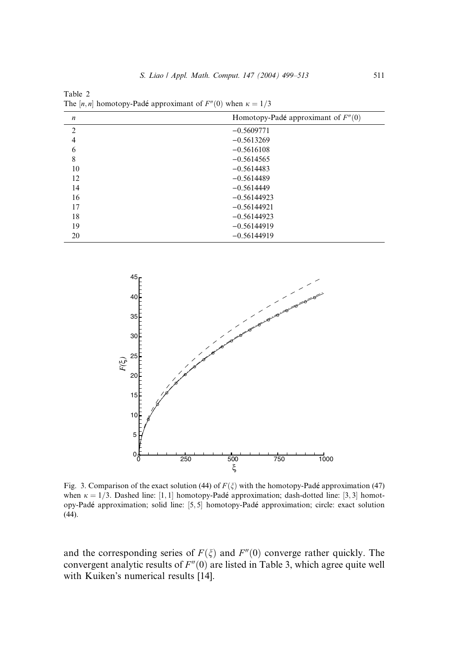| $\boldsymbol{n}$ | Homotopy-Padé approximant of $F''(0)$ |
|------------------|---------------------------------------|
| $\overline{2}$   | $-0.5609771$                          |
| $\overline{4}$   | $-0.5613269$                          |
| 6                | $-0.5616108$                          |
| 8                | $-0.5614565$                          |
| 10               | $-0.5614483$                          |
| 12               | $-0.5614489$                          |
| 14               | $-0.5614449$                          |
| 16               | $-0.56144923$                         |
| 17               | $-0.56144921$                         |
| 18               | $-0.56144923$                         |
| 19               | $-0.56144919$                         |
| 20               | $-0.56144919$                         |

Table 2 The [n, n] homotopy-Padé approximant of  $F''(0)$  when  $\kappa = 1/3$ 



Fig. 3. Comparison of the exact solution (44) of  $F(\xi)$  with the homotopy-Padé approximation (47) when  $\kappa = 1/3$ . Dashed line: [1, 1] homotopy-Padé approximation; dash-dotted line: [3, 3] homotopy-Padé approximation; solid line: [5,5] homotopy-Padé approximation; circle: exact solution (44).

and the corresponding series of  $F(\xi)$  and  $F''(0)$  converge rather quickly. The convergent analytic results of  $F''(0)$  are listed in Table 3, which agree quite well with Kuiken's numerical results [14].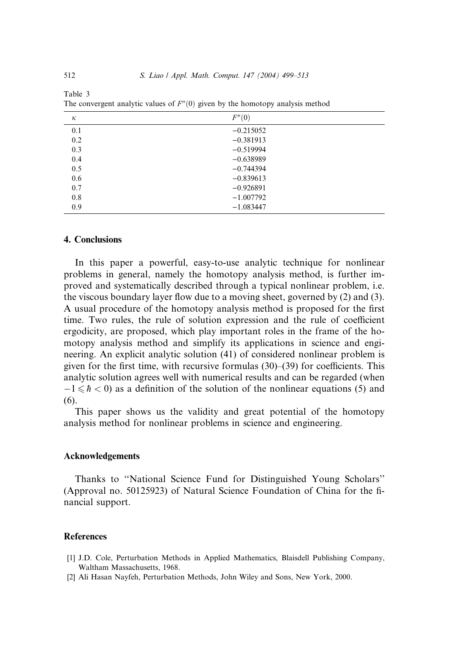| к   | F''(0)      |
|-----|-------------|
| 0.1 | $-0.215052$ |
| 0.2 | $-0.381913$ |
| 0.3 | $-0.519994$ |
| 0.4 | $-0.638989$ |
| 0.5 | $-0.744394$ |
| 0.6 | $-0.839613$ |
| 0.7 | $-0.926891$ |
| 0.8 | $-1.007792$ |
| 0.9 | $-1.083447$ |

Table 3 The convergent analytic values of  $F''(0)$  given by the homotopy analysis method

#### 4. Conclusions

In this paper a powerful, easy-to-use analytic technique for nonlinear problems in general, namely the homotopy analysis method, is further improved and systematically described through a typical nonlinear problem, i.e. the viscous boundary layer flow due to a moving sheet, governed by (2) and (3). A usual procedure of the homotopy analysis method is proposed for the first time. Two rules, the rule of solution expression and the rule of coefficient ergodicity, are proposed, which play important roles in the frame of the homotopy analysis method and simplify its applications in science and engineering. An explicit analytic solution (41) of considered nonlinear problem is given for the first time, with recursive formulas (30)–(39) for coefficients. This analytic solution agrees well with numerical results and can be regarded (when  $-1 \le \hbar < 0$ ) as a definition of the solution of the nonlinear equations (5) and (6).

This paper shows us the validity and great potential of the homotopy analysis method for nonlinear problems in science and engineering.

#### Acknowledgements

Thanks to ''National Science Fund for Distinguished Young Scholars'' (Approval no. 50125923) of Natural Science Foundation of China for the financial support.

#### References

- [1] J.D. Cole, Perturbation Methods in Applied Mathematics, Blaisdell Publishing Company, Waltham Massachusetts, 1968.
- [2] Ali Hasan Nayfeh, Perturbation Methods, John Wiley and Sons, New York, 2000.